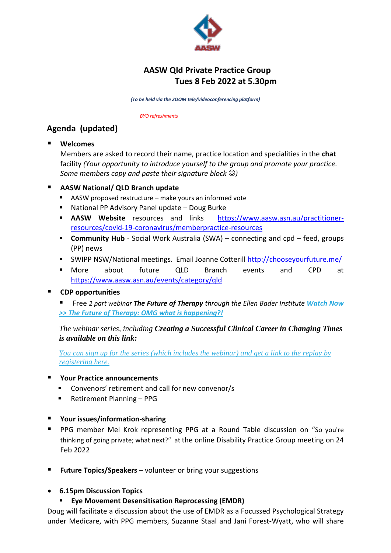

# **AASW Qld Private Practice Group Tues 8 Feb 2022 at 5.30pm**

*(To be held via the ZOOM tele/videoconferencing platform)* 

 *BYO refreshments* 

# **Agenda (updated)**

**Welcomes** 

Members are asked to record their name, practice location and specialities in the **chat** facility *(Your opportunity to introduce yourself to the group and promote your practice. Some members copy and paste their signature block*  $\odot$ )

## **AASW National/ QLD Branch update**

- AASW proposed restructure make yours an informed vote
- National PP Advisory Panel update Doug Burke
- **AASW Website** resources and links [https://www.aasw.asn.au/practitioner](https://www.aasw.asn.au/practitioner-resources/covid-19-coronavirus/member-practice-resources)[resources/covid-19-coronavirus/memberpractice-resources](https://www.aasw.asn.au/practitioner-resources/covid-19-coronavirus/member-practice-resources)
- **Community Hub** Social Work Australia (SWA) connecting and cpd feed, groups (PP) news
- SWIPP NSW/National meetings. Email Joanne Cotterill<http://chooseyourfuture.me/>
- More about future QLD Branch events and CPD at <https://www.aasw.asn.au/events/category/qld>

## **CDP opportunities**

 Free *2 part webinar The Future of Therapy through the Ellen Bader Institute [Watch Now](https://kk371.keap-link013.com/v2/click/a5647d5687b2a10dd1e4790ead4a4cac/eJyNUMGqwjAQ_Jc9N7ahxfJ6ExEpVQ-iZwntSkNrGtKNpUj_3fUpvssTvO3OzM4wewNCowzlFWTQNHEqIQCHpbYaDS07Q6r8JaVM0mgeBdBq06xd5y1kt_-O3_wDjZNI_gRAo0WWHPaLZZHv1qdNvitYapXjkG98krlM4z-j1XaRb2CaPjrjRdPqyuY9ZOQ8PjpVmnvR0bWsr4lsn4XhMAyzkjNa7LXpSZMnZOASUo3i7Mk7FN1Z8OaUHYXmSZlGjJ3nEGUtmur1owLHZ9R0B3NAb_I=)  >> [The Future of Therapy: OMG what is happening?!](https://kk371.keap-link013.com/v2/click/a5647d5687b2a10dd1e4790ead4a4cac/eJyNUMGqwjAQ_Jc9N7ahxfJ6ExEpVQ-iZwntSkNrGtKNpUj_3fUpvssTvO3OzM4wewNCowzlFWTQNHEqIQCHpbYaDS07Q6r8JaVM0mgeBdBq06xd5y1kt_-O3_wDjZNI_gRAo0WWHPaLZZHv1qdNvitYapXjkG98krlM4z-j1XaRb2CaPjrjRdPqyuY9ZOQ8PjpVmnvR0bWsr4lsn4XhMAyzkjNa7LXpSZMnZOASUo3i7Mk7FN1Z8OaUHYXmSZlGjJ3nEGUtmur1owLHZ9R0B3NAb_I=)*

*The webinar series, including Creating a Successful Clinical Career in Changing Times is available on this link:*

*[You can sign up for the series \(which includes the webinar\) and get a link to the replay by](https://kk371.keap-link009.com/v2/click/dc4cb9020237a84cc4db13343e3541f5/eJyNkE8LgkAQxb_LnC3dlCRvERGidYg6x6JDLa7rso5KhN-96Q-dCrq-9-b3eHMDQiMNpSUkUFVhLMADh4WyCg2tGkOyeJpCRHEwDzzQylQb13QWktu344__UMMomAkP6GqRI4f9cpWlu80pT3cZR610XPIPJ5qLOFx8QOvtMs1hHH-SsVa07hneQkKuw8emUvEuOjrN-QuRbRPfH4ZhWnCHxlaZlhR1hCzUfok96sbWjJB6UlykOeOkUT6zpbVoyvdrMry-GsY7jk9sig==)  [registering here.](https://kk371.keap-link009.com/v2/click/dc4cb9020237a84cc4db13343e3541f5/eJyNkE8LgkAQxb_LnC3dlCRvERGidYg6x6JDLa7rso5KhN-96Q-dCrq-9-b3eHMDQiMNpSUkUFVhLMADh4WyCg2tGkOyeJpCRHEwDzzQylQb13QWktu344__UMMomAkP6GqRI4f9cpWlu80pT3cZR610XPIPJ5qLOFx8QOvtMs1hHH-SsVa07hneQkKuw8emUvEuOjrN-QuRbRPfH4ZhWnCHxlaZlhR1hCzUfok96sbWjJB6UlykOeOkUT6zpbVoyvdrMry-GsY7jk9sig==)*

### **Your Practice announcements**

- Convenors' retirement and call for new convenor/s
- Retirement Planning PPG
- **Your issues/information-sharing**
- **PPG** member Mel Krok representing PPG at a Round Table discussion on "So you're thinking of going private; what next?" at the online Disability Practice Group meeting on 24 Feb 2022
- **Future Topics/Speakers** volunteer or bring your suggestions
- **6.15pm Discussion Topics**
	- **Eye Movement Desensitisation Reprocessing (EMDR)**

Doug will facilitate a discussion about the use of EMDR as a Focussed Psychological Strategy under Medicare, with PPG members, Suzanne Staal and Jani Forest-Wyatt, who will share